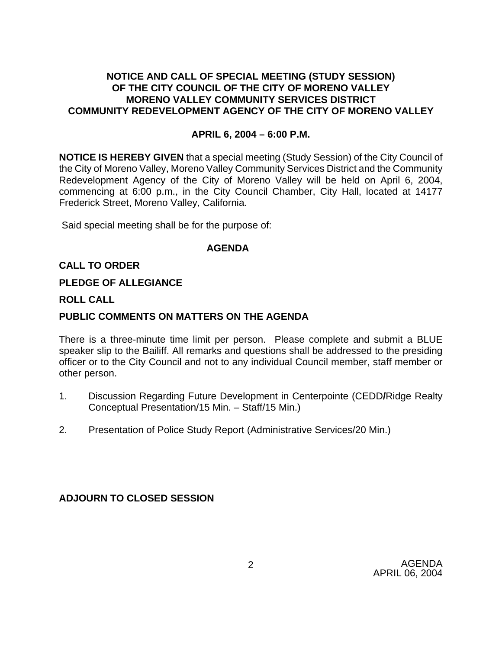# **NOTICE AND CALL OF SPECIAL MEETING (STUDY SESSION) OF THE CITY COUNCIL OF THE CITY OF MORENO VALLEY MORENO VALLEY COMMUNITY SERVICES DISTRICT COMMUNITY REDEVELOPMENT AGENCY OF THE CITY OF MORENO VALLEY**

### **APRIL 6, 2004 – 6:00 P.M.**

**NOTICE IS HEREBY GIVEN** that a special meeting (Study Session) of the City Council of the City of Moreno Valley, Moreno Valley Community Services District and the Community Redevelopment Agency of the City of Moreno Valley will be held on April 6, 2004, commencing at 6:00 p.m., in the City Council Chamber, City Hall, located at 14177 Frederick Street, Moreno Valley, California.

Said special meeting shall be for the purpose of:

#### **AGENDA**

## **CALL TO ORDER**

#### **PLEDGE OF ALLEGIANCE**

#### **ROLL CALL**

#### **PUBLIC COMMENTS ON MATTERS ON THE AGENDA**

There is a three-minute time limit per person. Please complete and submit a BLUE speaker slip to the Bailiff. All remarks and questions shall be addressed to the presiding officer or to the City Council and not to any individual Council member, staff member or other person.

- 1. Discussion Regarding Future Development in Centerpointe (CEDD**/**Ridge Realty Conceptual Presentation/15 Min. – Staff/15 Min.)
- 2. Presentation of Police Study Report (Administrative Services/20 Min.)

 **ADJOURN TO CLOSED SESSION**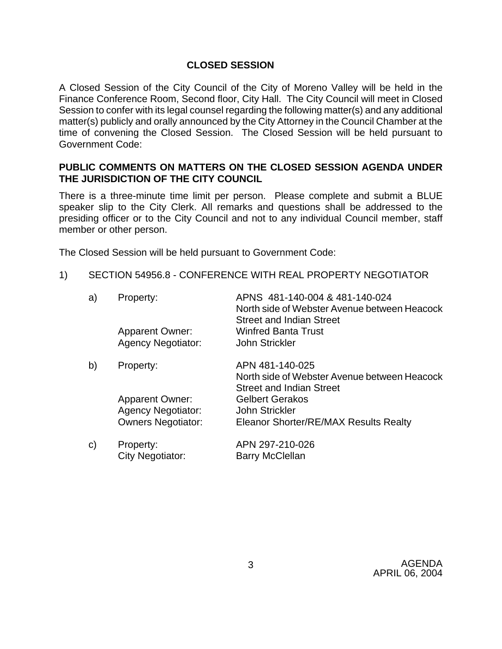# **CLOSED SESSION**

A Closed Session of the City Council of the City of Moreno Valley will be held in the Finance Conference Room, Second floor, City Hall. The City Council will meet in Closed Session to confer with its legal counsel regarding the following matter(s) and any additional matter(s) publicly and orally announced by the City Attorney in the Council Chamber at the time of convening the Closed Session. The Closed Session will be held pursuant to Government Code:

# **PUBLIC COMMENTS ON MATTERS ON THE CLOSED SESSION AGENDA UNDER THE JURISDICTION OF THE CITY COUNCIL**

There is a three-minute time limit per person. Please complete and submit a BLUE speaker slip to the City Clerk. All remarks and questions shall be addressed to the presiding officer or to the City Council and not to any individual Council member, staff member or other person.

The Closed Session will be held pursuant to Government Code:

1) SECTION 54956.8 - CONFERENCE WITH REAL PROPERTY NEGOTIATOR

| a) | Property:                                           | APNS 481-140-004 & 481-140-024<br>North side of Webster Avenue between Heacock<br><b>Street and Indian Street</b> |
|----|-----------------------------------------------------|-------------------------------------------------------------------------------------------------------------------|
|    | <b>Apparent Owner:</b><br><b>Agency Negotiator:</b> | <b>Winfred Banta Trust</b><br>John Strickler                                                                      |
| b) | Property:                                           | APN 481-140-025<br>North side of Webster Avenue between Heacock<br><b>Street and Indian Street</b>                |
|    | <b>Apparent Owner:</b><br><b>Agency Negotiator:</b> | <b>Gelbert Gerakos</b><br>John Strickler                                                                          |
|    | <b>Owners Negotiator:</b>                           | Eleanor Shorter/RE/MAX Results Realty                                                                             |
| C) | Property:<br><b>City Negotiator:</b>                | APN 297-210-026<br><b>Barry McClellan</b>                                                                         |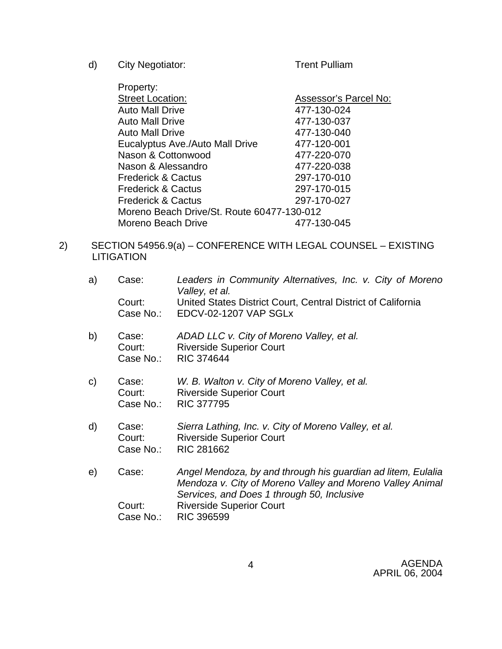d) City Negotiator: Trent Pulliam

- Property:<br>Street Location: Assessor's Parcel No:<br>477-130-024 Auto Mall Drive Auto Mall Drive 477-130-037 Auto Mall Drive 477-130-040 Eucalyptus Ave./Auto Mall Drive 477-120-001 Nason & Cottonwood 477-220-070 Nason & Alessandro 477-220-038 Frederick & Cactus 297-170-010 Frederick & Cactus 297-170-015 Frederick & Cactus 297-170-027 Moreno Beach Drive/St. Route 60477-130-012 Moreno Beach Drive 477-130-045
- 2) SECTION 54956.9(a) CONFERENCE WITH LEGAL COUNSEL EXISTING **LITIGATION**

| a) | Case:                        | Leaders in Community Alternatives, Inc. v. City of Moreno<br>Valley, et al.                                                                                             |
|----|------------------------------|-------------------------------------------------------------------------------------------------------------------------------------------------------------------------|
|    | Court:                       | United States District Court, Central District of California<br>Case No.: EDCV-02-1207 VAP SGLx                                                                         |
| b) | Case:<br>Court:<br>Case No.: | ADAD LLC v. City of Moreno Valley, et al.<br><b>Riverside Superior Court</b><br><b>RIC 374644</b>                                                                       |
| C) | Case:<br>Court:<br>Case No.: | W. B. Walton v. City of Moreno Valley, et al.<br><b>Riverside Superior Court</b><br><b>RIC 377795</b>                                                                   |
| d) | Case:<br>Court:<br>Case No.: | Sierra Lathing, Inc. v. City of Moreno Valley, et al.<br><b>Riverside Superior Court</b><br>RIC 281662                                                                  |
| e) | Case:                        | Angel Mendoza, by and through his guardian ad litem, Eulalia<br>Mendoza v. City of Moreno Valley and Moreno Valley Animal<br>Services, and Does 1 through 50, Inclusive |
|    | Court:<br>Case No.:          | <b>Riverside Superior Court</b><br><b>RIC 396599</b>                                                                                                                    |

AGENDA APRIL 06, 2004